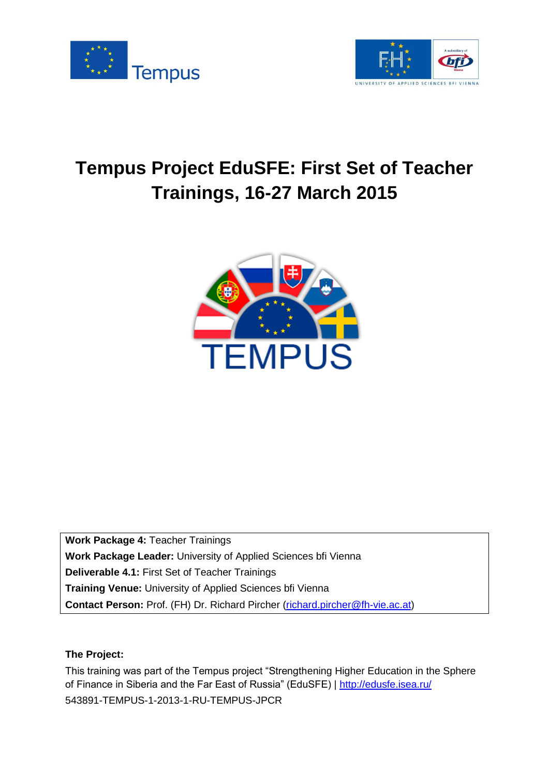



# **Tempus Project EduSFE: First Set of Teacher Trainings, 16-27 March 2015**



**Work Package 4:** Teacher Trainings **Work Package Leader:** University of Applied Sciences bfi Vienna **Deliverable 4.1:** First Set of Teacher Trainings **Training Venue:** University of Applied Sciences bfi Vienna **Contact Person:** Prof. (FH) Dr. Richard Pircher [\(richard.pircher@fh-vie.ac.at\)](mailto:richard.pircher@fh-vie.ac.at)

#### **The Project:**

This training was part of the Tempus project "Strengthening Higher Education in the Sphere of Finance in Siberia and the Far East of Russia" (EduSFE) |<http://edusfe.isea.ru/> 543891-TEMPUS-1-2013-1-RU-TEMPUS-JPCR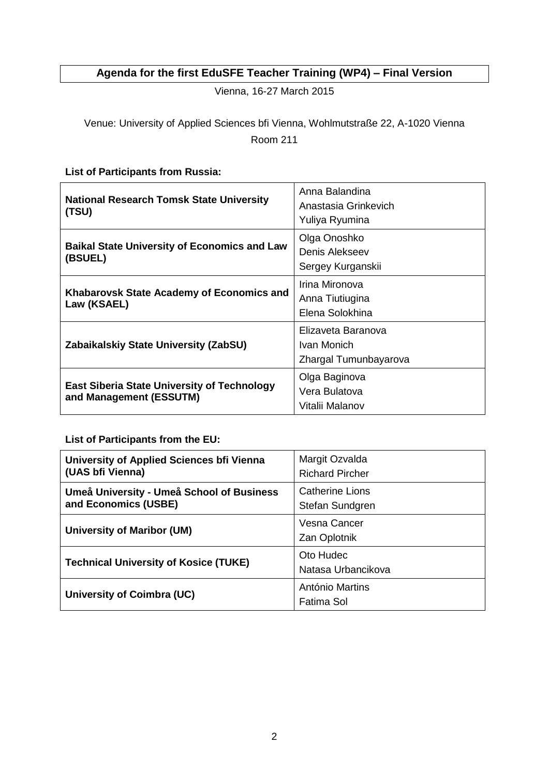## **Agenda for the first EduSFE Teacher Training (WP4) – Final Version**

Vienna, 16-27 March 2015

### Venue: University of Applied Sciences bfi Vienna, Wohlmutstraße 22, A-1020 Vienna Room 211

#### **List of Participants from Russia:**

| <b>National Research Tomsk State University</b><br>(TSU)                      | Anna Balandina<br>Anastasia Grinkevich<br>Yuliya Ryumina   |
|-------------------------------------------------------------------------------|------------------------------------------------------------|
| <b>Baikal State University of Economics and Law</b><br>(BSUEL)                | Olga Onoshko<br>Denis Alekseev<br>Sergey Kurganskii        |
| Khabarovsk State Academy of Economics and<br>Law (KSAEL)                      | Irina Mironova<br>Anna Tiutiugina<br>Elena Solokhina       |
| Zabaikalskiy State University (ZabSU)                                         | Elizaveta Baranova<br>Ivan Monich<br>Zhargal Tumunbayarova |
| <b>East Siberia State University of Technology</b><br>and Management (ESSUTM) | Olga Baginova<br>Vera Bulatova<br>Vitalii Malanov          |

#### **List of Participants from the EU:**

| University of Applied Sciences bfi Vienna<br>(UAS bfi Vienna)     | Margit Ozvalda<br><b>Richard Pircher</b> |
|-------------------------------------------------------------------|------------------------------------------|
| Umeå University - Umeå School of Business<br>and Economics (USBE) | Catherine Lions<br>Stefan Sundgren       |
| <b>University of Maribor (UM)</b>                                 | Vesna Cancer<br>Zan Oplotnik             |
| <b>Technical University of Kosice (TUKE)</b>                      | Oto Hudec<br>Natasa Urbancikova          |
| University of Coimbra (UC)                                        | António Martins<br>Fatima Sol            |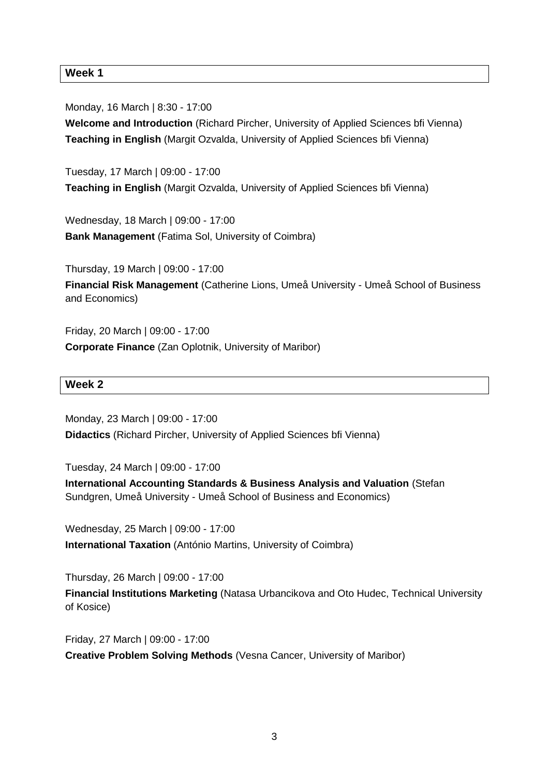#### **Week 1**

Monday, 16 March | 8:30 - 17:00

**Welcome and Introduction** (Richard Pircher, University of Applied Sciences bfi Vienna) **Teaching in English** (Margit Ozvalda, University of Applied Sciences bfi Vienna)

Tuesday, 17 March | 09:00 - 17:00 **Teaching in English** (Margit Ozvalda, University of Applied Sciences bfi Vienna)

Wednesday, 18 March | 09:00 - 17:00 **Bank Management** (Fatima Sol, University of Coimbra)

Thursday, 19 March | 09:00 - 17:00 **Financial Risk Management** (Catherine Lions, Umeå University - Umeå School of Business and Economics)

Friday, 20 March | 09:00 - 17:00 **Corporate Finance** (Zan Oplotnik, University of Maribor)

#### **Week 2**

Monday, 23 March | 09:00 - 17:00 **Didactics** (Richard Pircher, University of Applied Sciences bfi Vienna)

Tuesday, 24 March | 09:00 - 17:00

**International Accounting Standards & Business Analysis and Valuation** (Stefan Sundgren, Umeå University - Umeå School of Business and Economics)

Wednesday, 25 March | 09:00 - 17:00 **International Taxation** (António Martins, University of Coimbra)

Thursday, 26 March | 09:00 - 17:00 **Financial Institutions Marketing** (Natasa Urbancikova and Oto Hudec, Technical University of Kosice)

Friday, 27 March | 09:00 - 17:00 **Creative Problem Solving Methods** (Vesna Cancer, University of Maribor)